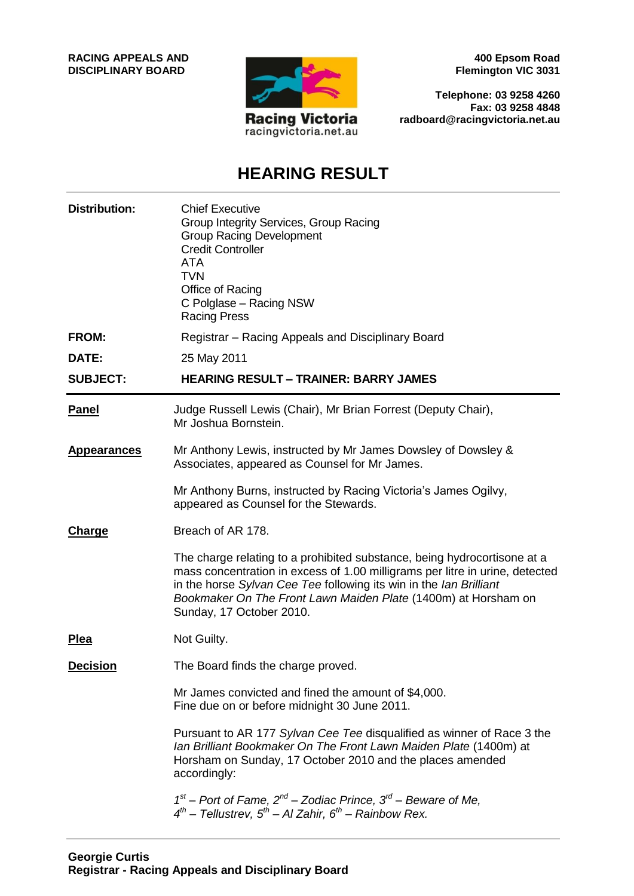**RACING APPEALS AND DISCIPLINARY BOARD**



**400 Epsom Road Flemington VIC 3031**

**Telephone: 03 9258 4260 Fax: 03 9258 4848 radboard@racingvictoria.net.au**

## **HEARING RESULT**

| <b>Distribution:</b> | <b>Chief Executive</b><br>Group Integrity Services, Group Racing<br><b>Group Racing Development</b><br><b>Credit Controller</b><br><b>ATA</b><br><b>TVN</b><br>Office of Racing<br>C Polglase - Racing NSW<br><b>Racing Press</b>                                                                                            |
|----------------------|------------------------------------------------------------------------------------------------------------------------------------------------------------------------------------------------------------------------------------------------------------------------------------------------------------------------------|
| <b>FROM:</b>         | Registrar – Racing Appeals and Disciplinary Board                                                                                                                                                                                                                                                                            |
| DATE:                | 25 May 2011                                                                                                                                                                                                                                                                                                                  |
| <b>SUBJECT:</b>      | <b>HEARING RESULT - TRAINER: BARRY JAMES</b>                                                                                                                                                                                                                                                                                 |
| <b>Panel</b>         | Judge Russell Lewis (Chair), Mr Brian Forrest (Deputy Chair),<br>Mr Joshua Bornstein.                                                                                                                                                                                                                                        |
| <b>Appearances</b>   | Mr Anthony Lewis, instructed by Mr James Dowsley of Dowsley &<br>Associates, appeared as Counsel for Mr James.                                                                                                                                                                                                               |
|                      | Mr Anthony Burns, instructed by Racing Victoria's James Ogilvy,<br>appeared as Counsel for the Stewards.                                                                                                                                                                                                                     |
| Charge               | Breach of AR 178.                                                                                                                                                                                                                                                                                                            |
|                      | The charge relating to a prohibited substance, being hydrocortisone at a<br>mass concentration in excess of 1.00 milligrams per litre in urine, detected<br>in the horse Sylvan Cee Tee following its win in the lan Brilliant<br>Bookmaker On The Front Lawn Maiden Plate (1400m) at Horsham on<br>Sunday, 17 October 2010. |
| <b>Plea</b>          | Not Guilty.                                                                                                                                                                                                                                                                                                                  |
| <b>Decision</b>      | The Board finds the charge proved.                                                                                                                                                                                                                                                                                           |
|                      | Mr James convicted and fined the amount of \$4,000.<br>Fine due on or before midnight 30 June 2011.                                                                                                                                                                                                                          |
|                      | Pursuant to AR 177 Sylvan Cee Tee disqualified as winner of Race 3 the<br>Ian Brilliant Bookmaker On The Front Lawn Maiden Plate (1400m) at<br>Horsham on Sunday, 17 October 2010 and the places amended<br>accordingly:                                                                                                     |
|                      | $1st$ – Port of Fame, $2nd$ – Zodiac Prince, $3rd$ – Beware of Me,<br>$4^{th}$ – Tellustrev, $5^{th}$ – Al Zahir, $6^{th}$ – Rainbow Rex.                                                                                                                                                                                    |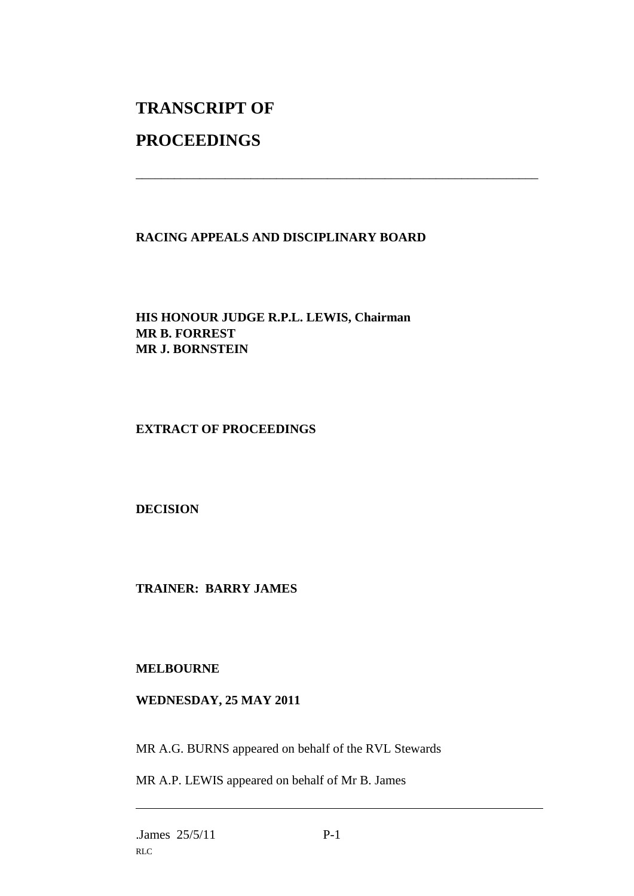# **TRANSCRIPT OF**

### **PROCEEDINGS**

#### **RACING APPEALS AND DISCIPLINARY BOARD**

\_\_\_\_\_\_\_\_\_\_\_\_\_\_\_\_\_\_\_\_\_\_\_\_\_\_\_\_\_\_\_\_\_\_\_\_\_\_\_\_\_\_\_\_\_\_\_\_\_\_\_\_\_\_\_\_\_\_\_\_\_\_\_

#### **HIS HONOUR JUDGE R.P.L. LEWIS, Chairman MR B. FORREST MR J. BORNSTEIN**

#### **EXTRACT OF PROCEEDINGS**

#### **DECISION**

#### **TRAINER: BARRY JAMES**

#### **MELBOURNE**

#### **WEDNESDAY, 25 MAY 2011**

MR A.G. BURNS appeared on behalf of the RVL Stewards

MR A.P. LEWIS appeared on behalf of Mr B. James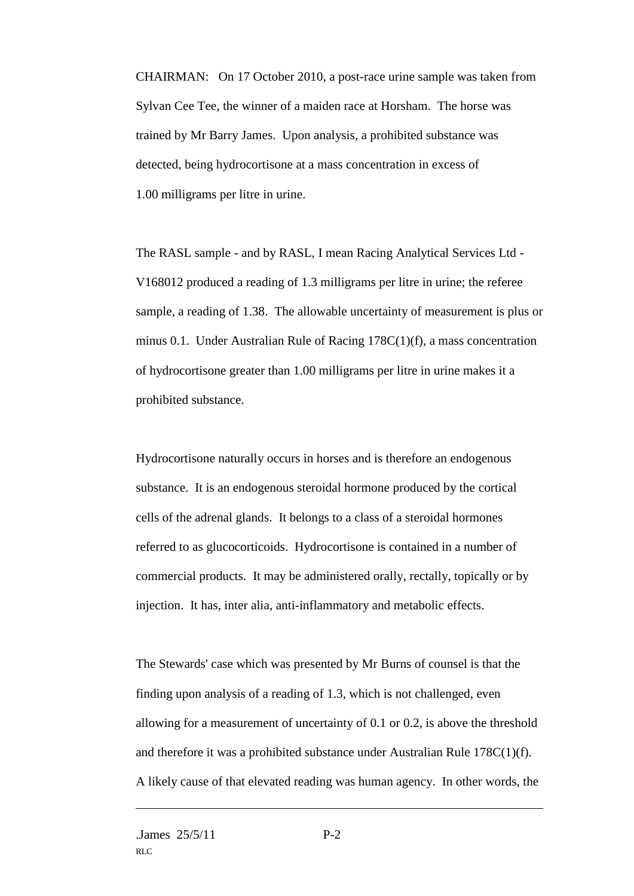CHAIRMAN: On 17 October 2010, a post-race urine sample was taken from Sylvan Cee Tee, the winner of a maiden race at Horsham. The horse was trained by Mr Barry James. Upon analysis, a prohibited substance was detected, being hydrocortisone at a mass concentration in excess of 1.00 milligrams per litre in urine.

The RASL sample - and by RASL, I mean Racing Analytical Services Ltd - V168012 produced a reading of 1.3 milligrams per litre in urine; the referee sample, a reading of 1.38. The allowable uncertainty of measurement is plus or minus 0.1. Under Australian Rule of Racing 178C(1)(f), a mass concentration of hydrocortisone greater than 1.00 milligrams per litre in urine makes it a prohibited substance.

Hydrocortisone naturally occurs in horses and is therefore an endogenous substance. It is an endogenous steroidal hormone produced by the cortical cells of the adrenal glands. It belongs to a class of a steroidal hormones referred to as glucocorticoids. Hydrocortisone is contained in a number of commercial products. It may be administered orally, rectally, topically or by injection. It has, inter alia, anti-inflammatory and metabolic effects.

The Stewards' case which was presented by Mr Burns of counsel is that the finding upon analysis of a reading of 1.3, which is not challenged, even allowing for a measurement of uncertainty of 0.1 or 0.2, is above the threshold and therefore it was a prohibited substance under Australian Rule 178C(1)(f). A likely cause of that elevated reading was human agency. In other words, the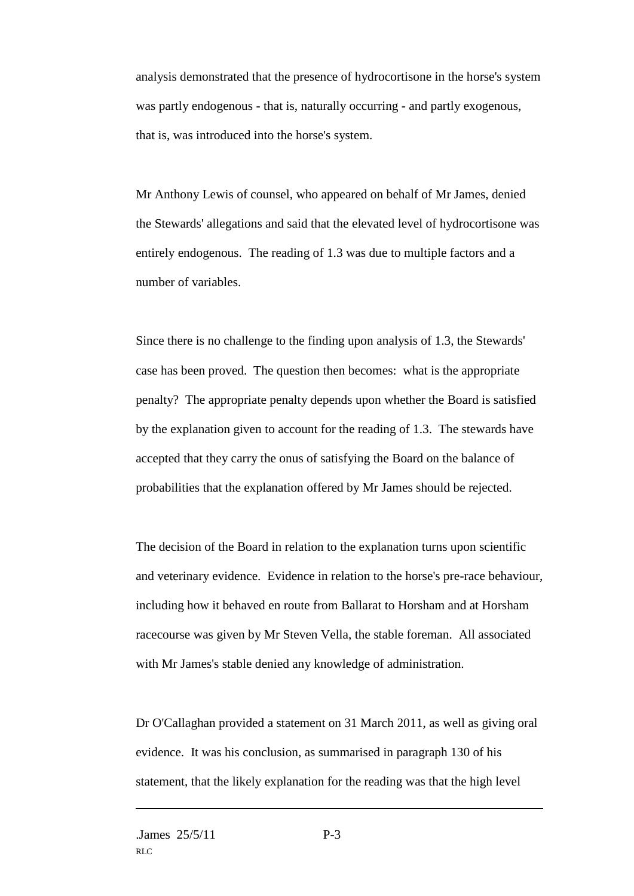analysis demonstrated that the presence of hydrocortisone in the horse's system was partly endogenous - that is, naturally occurring - and partly exogenous, that is, was introduced into the horse's system.

Mr Anthony Lewis of counsel, who appeared on behalf of Mr James, denied the Stewards' allegations and said that the elevated level of hydrocortisone was entirely endogenous. The reading of 1.3 was due to multiple factors and a number of variables.

Since there is no challenge to the finding upon analysis of 1.3, the Stewards' case has been proved. The question then becomes: what is the appropriate penalty? The appropriate penalty depends upon whether the Board is satisfied by the explanation given to account for the reading of 1.3. The stewards have accepted that they carry the onus of satisfying the Board on the balance of probabilities that the explanation offered by Mr James should be rejected.

The decision of the Board in relation to the explanation turns upon scientific and veterinary evidence. Evidence in relation to the horse's pre-race behaviour, including how it behaved en route from Ballarat to Horsham and at Horsham racecourse was given by Mr Steven Vella, the stable foreman. All associated with Mr James's stable denied any knowledge of administration.

Dr O'Callaghan provided a statement on 31 March 2011, as well as giving oral evidence. It was his conclusion, as summarised in paragraph 130 of his statement, that the likely explanation for the reading was that the high level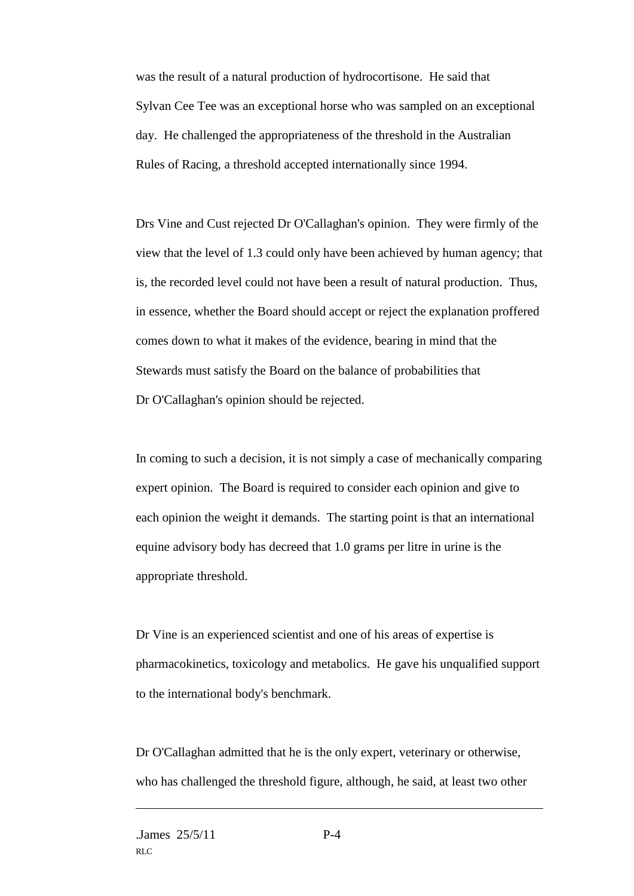was the result of a natural production of hydrocortisone. He said that Sylvan Cee Tee was an exceptional horse who was sampled on an exceptional day. He challenged the appropriateness of the threshold in the Australian Rules of Racing, a threshold accepted internationally since 1994.

Drs Vine and Cust rejected Dr O'Callaghan's opinion. They were firmly of the view that the level of 1.3 could only have been achieved by human agency; that is, the recorded level could not have been a result of natural production. Thus, in essence, whether the Board should accept or reject the explanation proffered comes down to what it makes of the evidence, bearing in mind that the Stewards must satisfy the Board on the balance of probabilities that Dr O'Callaghan's opinion should be rejected.

In coming to such a decision, it is not simply a case of mechanically comparing expert opinion. The Board is required to consider each opinion and give to each opinion the weight it demands. The starting point is that an international equine advisory body has decreed that 1.0 grams per litre in urine is the appropriate threshold.

Dr Vine is an experienced scientist and one of his areas of expertise is pharmacokinetics, toxicology and metabolics. He gave his unqualified support to the international body's benchmark.

Dr O'Callaghan admitted that he is the only expert, veterinary or otherwise, who has challenged the threshold figure, although, he said, at least two other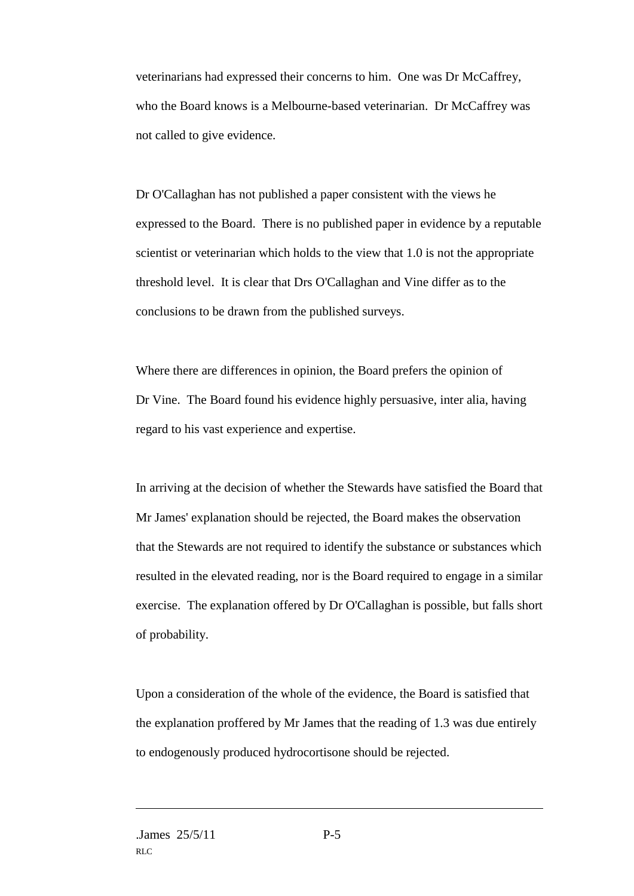veterinarians had expressed their concerns to him. One was Dr McCaffrey, who the Board knows is a Melbourne-based veterinarian. Dr McCaffrey was not called to give evidence.

Dr O'Callaghan has not published a paper consistent with the views he expressed to the Board. There is no published paper in evidence by a reputable scientist or veterinarian which holds to the view that 1.0 is not the appropriate threshold level. It is clear that Drs O'Callaghan and Vine differ as to the conclusions to be drawn from the published surveys.

Where there are differences in opinion, the Board prefers the opinion of Dr Vine. The Board found his evidence highly persuasive, inter alia, having regard to his vast experience and expertise.

In arriving at the decision of whether the Stewards have satisfied the Board that Mr James' explanation should be rejected, the Board makes the observation that the Stewards are not required to identify the substance or substances which resulted in the elevated reading, nor is the Board required to engage in a similar exercise. The explanation offered by Dr O'Callaghan is possible, but falls short of probability.

Upon a consideration of the whole of the evidence, the Board is satisfied that the explanation proffered by Mr James that the reading of 1.3 was due entirely to endogenously produced hydrocortisone should be rejected.